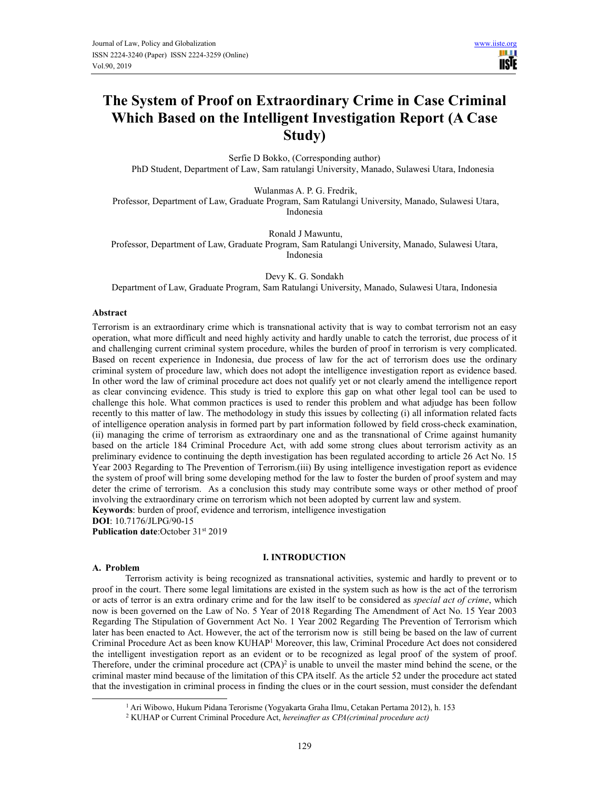H 1 IISIE

# **The System of Proof on Extraordinary Crime in Case Criminal Which Based on the Intelligent Investigation Report (A Case Study)**

Serfie D Bokko, (Corresponding author) PhD Student, Department of Law, Sam ratulangi University, Manado, Sulawesi Utara, Indonesia

Wulanmas A. P. G. Fredrik,

 Professor, Department of Law, Graduate Program, Sam Ratulangi University, Manado, Sulawesi Utara, Indonesia

 Ronald J Mawuntu, Professor, Department of Law, Graduate Program, Sam Ratulangi University, Manado, Sulawesi Utara, Indonesia

Devy K. G. Sondakh Department of Law, Graduate Program, Sam Ratulangi University, Manado, Sulawesi Utara, Indonesia

## **Abstract**

Terrorism is an extraordinary crime which is transnational activity that is way to combat terrorism not an easy operation, what more difficult and need highly activity and hardly unable to catch the terrorist, due process of it and challenging current criminal system procedure, whiles the burden of proof in terrorism is very complicated. Based on recent experience in Indonesia, due process of law for the act of terrorism does use the ordinary criminal system of procedure law, which does not adopt the intelligence investigation report as evidence based. In other word the law of criminal procedure act does not qualify yet or not clearly amend the intelligence report as clear convincing evidence. This study is tried to explore this gap on what other legal tool can be used to challenge this hole. What common practices is used to render this problem and what adjudge has been follow recently to this matter of law. The methodology in study this issues by collecting (i) all information related facts of intelligence operation analysis in formed part by part information followed by field cross-check examination, (ii) managing the crime of terrorism as extraordinary one and as the transnational of Crime against humanity based on the article 184 Criminal Procedure Act, with add some strong clues about terrorism activity as an preliminary evidence to continuing the depth investigation has been regulated according to article 26 Act No. 15 Year 2003 Regarding to The Prevention of Terrorism.(iii) By using intelligence investigation report as evidence the system of proof will bring some developing method for the law to foster the burden of proof system and may deter the crime of terrorism. As a conclusion this study may contribute some ways or other method of proof involving the extraordinary crime on terrorism which not been adopted by current law and system. **Keywords**: burden of proof, evidence and terrorism, intelligence investigation

**DOI**: 10.7176/JLPG/90-15

**Publication date:**October 31<sup>st</sup> 2019

## **I. INTRODUCTION**

#### **A. Problem**

Terrorism activity is being recognized as transnational activities, systemic and hardly to prevent or to proof in the court. There some legal limitations are existed in the system such as how is the act of the terrorism or acts of terror is an extra ordinary crime and for the law itself to be considered as *special act of crime*, which now is been governed on the Law of No. 5 Year of 2018 Regarding The Amendment of Act No. 15 Year 2003 Regarding The Stipulation of Government Act No. 1 Year 2002 Regarding The Prevention of Terrorism which later has been enacted to Act. However, the act of the terrorism now is still being be based on the law of current Criminal Procedure Act as been know KUHAP<sup>1</sup> Moreover, this law, Criminal Procedure Act does not considered the intelligent investigation report as an evident or to be recognized as legal proof of the system of proof. Therefore, under the criminal procedure act  $(CPA)^2$  is unable to unveil the master mind behind the scene, or the criminal master mind because of the limitation of this CPA itself. As the article 52 under the procedure act stated that the investigation in criminal process in finding the clues or in the court session, must consider the defendant

<sup>1</sup> Ari Wibowo, Hukum Pidana Terorisme (Yogyakarta Graha Ilmu, Cetakan Pertama 2012), h. 153

<sup>2</sup> KUHAP or Current Criminal Procedure Act, *hereinafter as CPA(criminal procedure act)*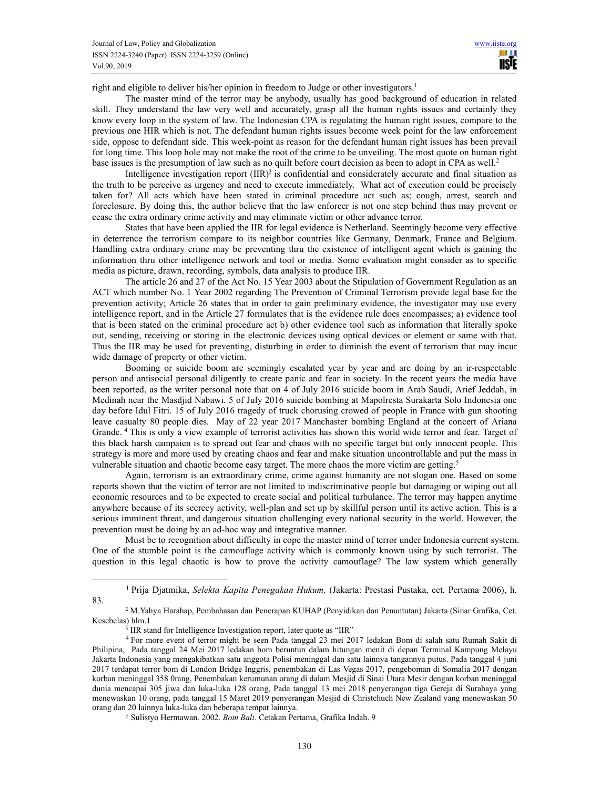right and eligible to deliver his/her opinion in freedom to Judge or other investigators.<sup>1</sup>

The master mind of the terror may be anybody, usually has good background of education in related skill. They understand the law very well and accurately, grasp all the human rights issues and certainly they know every loop in the system of law. The Indonesian CPA is regulating the human right issues, compare to the previous one HIR which is not. The defendant human rights issues become week point for the law enforcement side, oppose to defendant side. This week-point as reason for the defendant human right issues has been prevail for long time. This loop hole may not make the root of the crime to be unveiling. The most quote on human right base issues is the presumption of law such as no quilt before court decision as been to adopt in CPA as well.<sup>2</sup>

Intelligence investigation report  $(IIR)^3$  is confidential and considerately accurate and final situation as the truth to be perceive as urgency and need to execute immediately. What act of execution could be precisely taken for? All acts which have been stated in criminal procedure act such as; cough, arrest, search and foreclosure. By doing this, the author believe that the law enforcer is not one step behind thus may prevent or cease the extra ordinary crime activity and may eliminate victim or other advance terror.

States that have been applied the IIR for legal evidence is Netherland. Seemingly become very effective in deterrence the terrorism compare to its neighbor countries like Germany, Denmark, France and Belgium. Handling extra ordinary crime may be preventing thru the existence of intelligent agent which is gaining the information thru other intelligence network and tool or media. Some evaluation might consider as to specific media as picture, drawn, recording, symbols, data analysis to produce IIR.

The article 26 and 27 of the Act No. 15 Year 2003 about the Stipulation of Government Regulation as an ACT which number No. 1 Year 2002 regarding The Prevention of Criminal Terrorism provide legal base for the prevention activity; Article 26 states that in order to gain preliminary evidence, the investigator may use every intelligence report, and in the Article 27 formulates that is the evidence rule does encompasses; a) evidence tool that is been stated on the criminal procedure act b) other evidence tool such as information that literally spoke out, sending, receiving or storing in the electronic devices using optical devices or element or same with that. Thus the IIR may be used for preventing, disturbing in order to diminish the event of terrorism that may incur wide damage of property or other victim.

Booming or suicide boom are seemingly escalated year by year and are doing by an ir-respectable person and antisocial personal diligently to create panic and fear in society. In the recent years the media have been reported, as the writer personal note that on 4 of July 2016 suicide boom in Arab Saudi, Arief Jeddah, in Medinah near the Masdjid Nabawi. 5 of July 2016 suicide bombing at Mapolresta Surakarta Solo Indonesia one day before Idul Fitri. 15 of July 2016 tragedy of truck chorusing crowed of people in France with gun shooting leave casualty 80 people dies. May of 22 year 2017 Manchaster bombing England at the concert of Ariana Grande. <sup>4</sup> This is only a view example of terrorist activities has shown this world wide terror and fear. Target of this black harsh campaien is to spread out fear and chaos with no specific target but only innocent people. This strategy is more and more used by creating chaos and fear and make situation uncontrollable and put the mass in vulnerable situation and chaotic become easy target. The more chaos the more victim are getting.<sup>5</sup>

Again, terrorism is an extraordinary crime, crime against humanity are not slogan one. Based on some reports shown that the victim of terror are not limited to indiscriminative people but damaging or wiping out all economic resources and to be expected to create social and political turbulance. The terror may happen anytime anywhere because of its secrecy activity, well-plan and set up by skillful person until its active action. This is a serious imminent threat, and dangerous situation challenging every national security in the world. However, the prevention must be doing by an ad-hoc way and integrative manner.

Must be to recognition about difficulty in cope the master mind of terror under Indonesia current system. One of the stumble point is the camouflage activity which is commonly known using by such terrorist. The question in this legal chaotic is how to prove the activity camouflage? The law system which generally

83.

<sup>&</sup>lt;sup>1</sup> Prija Djatmika, *Selekta Kapita Penegakan Hukum, (J*akarta: Prestasi Pustaka, cet. Pertama 2006), h.

<sup>&</sup>lt;sup>2</sup> M.Yahya Harahap, Pembahasan dan Penerapan KUHAP (Penyidikan dan Penuntutan) Jakarta (Sinar Grafika, Cet. Kesebelas) hlm.1

<sup>&</sup>lt;sup>3</sup> IIR stand for Intelligence Investigation report, later quote as "IIR"

<sup>4</sup> For more event of terror might be seen Pada tanggal 23 mei 2017 ledakan Bom di salah satu Rumah Sakit di Philipina, Pada tanggal 24 Mei 2017 ledakan bom beruntun dalam hitungan menit di depan Terminal Kampung Melayu Jakarta Indonesia yang mengakibatkan satu anggota Polisi meninggal dan satu lainnya tangannya putus. Pada tanggal 4 juni 2017 terdapat terror bom di London Bridge Inggris, penembakan di Las Vegas 2017, pengeboman di Somalia 2017 dengan korban meninggal 358 0rang, Penembakan kerumunan orang di dalam Mesjid di Sinai Utara Mesir dengan korban meninggal dunia mencapai 305 jiwa dan luka-luka 128 orang, Pada tanggal 13 mei 2018 penyerangan tiga Gereja di Surabaya yang menewaskan 10 orang, pada tanggal 15 Maret 2019 penyerangan Mesjid di Christchuch New Zealand yang menewaskan 50 orang dan 20 lainnya luka-luka dan beberapa tempat lainnya.

<sup>5</sup> Sulistyo Hermawan. 2002. *Bom Bali*. Cetakan Pertama, Grafika Indah. 9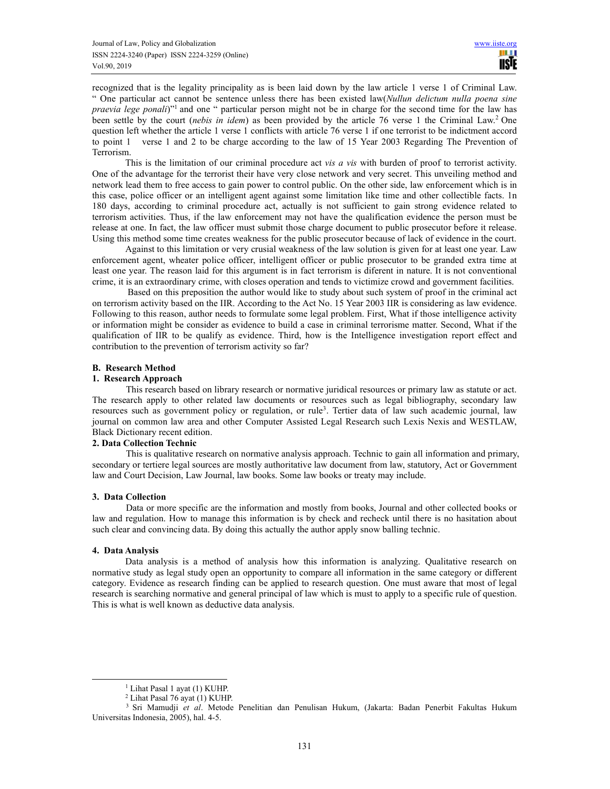recognized that is the legality principality as is been laid down by the law article 1 verse 1 of Criminal Law. " One particular act cannot be sentence unless there has been existed law(*Nullun delictum nulla poena sine praevia lege ponali*)<sup>"1</sup> and one " particular person might not be in charge for the second time for the law has been settle by the court (*nebis in idem*) as been provided by the article 76 verse 1 the Criminal Law.<sup>2</sup> One question left whether the article 1 verse 1 conflicts with article 76 verse 1 if one terrorist to be indictment accord to point 1 verse 1 and 2 to be charge according to the law of 15 Year 2003 Regarding The Prevention of Terrorism.

This is the limitation of our criminal procedure act *vis a vis* with burden of proof to terrorist activity. One of the advantage for the terrorist their have very close network and very secret. This unveiling method and network lead them to free access to gain power to control public. On the other side, law enforcement which is in this case, police officer or an intelligent agent against some limitation like time and other collectible facts. 1n 180 days, according to criminal procedure act, actually is not sufficient to gain strong evidence related to terrorism activities. Thus, if the law enforcement may not have the qualification evidence the person must be release at one. In fact, the law officer must submit those charge document to public prosecutor before it release. Using this method some time creates weakness for the public prosecutor because of lack of evidence in the court.

Against to this limitation or very crusial weakness of the law solution is given for at least one year. Law enforcement agent, wheater police officer, intelligent officer or public prosecutor to be granded extra time at least one year. The reason laid for this argument is in fact terrorism is diferent in nature. It is not conventional crime, it is an extraordinary crime, with closes operation and tends to victimize crowd and government facilities.

 Based on this preposition the author would like to study about such system of proof in the criminal act on terrorism activity based on the IIR. According to the Act No. 15 Year 2003 IIR is considering as law evidence. Following to this reason, author needs to formulate some legal problem. First, What if those intelligence activity or information might be consider as evidence to build a case in criminal terrorisme matter. Second, What if the qualification of IIR to be qualify as evidence. Third, how is the Intelligence investigation report effect and contribution to the prevention of terrorism activity so far?

## **B. Research Method**

## **1. Research Approach**

 This research based on library research or normative juridical resources or primary law as statute or act. The research apply to other related law documents or resources such as legal bibliography, secondary law resources such as government policy or regulation, or rule<sup>3</sup>. Tertier data of law such academic journal, law journal on common law area and other Computer Assisted Legal Research such Lexis Nexis and WESTLAW, Black Dictionary recent edition.

## **2. Data Collection Technic**

This is qualitative research on normative analysis approach. Technic to gain all information and primary, secondary or tertiere legal sources are mostly authoritative law document from law, statutory, Act or Government law and Court Decision, Law Journal, law books. Some law books or treaty may include.

## **3. Data Collection**

Data or more specific are the information and mostly from books, Journal and other collected books or law and regulation. How to manage this information is by check and recheck until there is no hasitation about such clear and convincing data. By doing this actually the author apply snow balling technic.

## **4. Data Analysis**

Data analysis is a method of analysis how this information is analyzing. Qualitative research on normative study as legal study open an opportunity to compare all information in the same category or different category. Evidence as research finding can be applied to research question. One must aware that most of legal research is searching normative and general principal of law which is must to apply to a specific rule of question. This is what is well known as deductive data analysis.

<sup>1</sup> Lihat Pasal 1 ayat (1) KUHP.

<sup>2</sup> Lihat Pasal 76 ayat (1) KUHP.

<sup>3</sup> Sri Mamudji *et al*. Metode Penelitian dan Penulisan Hukum, (Jakarta: Badan Penerbit Fakultas Hukum Universitas Indonesia, 2005), hal. 4-5.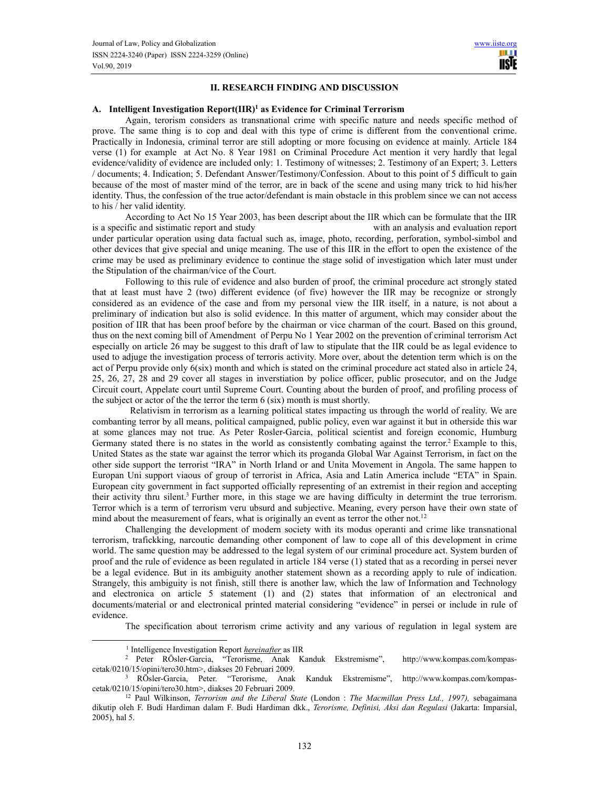## **II. RESEARCH FINDING AND DISCUSSION**

## **A. Intelligent Investigation Report(IIR)<sup>1</sup> as Evidence for Criminal Terrorism**

Again, terorism considers as transnational crime with specific nature and needs specific method of prove. The same thing is to cop and deal with this type of crime is different from the conventional crime. Practically in Indonesia, criminal terror are still adopting or more focusing on evidence at mainly. Article 184 verse (1) for example at Act No. 8 Year 1981 on Criminal Procedure Act mention it very hardly that legal evidence/validity of evidence are included only: 1. Testimony of witnesses; 2. Testimony of an Expert; 3. Letters / documents; 4. Indication; 5. Defendant Answer/Testimony/Confession. About to this point of 5 difficult to gain because of the most of master mind of the terror, are in back of the scene and using many trick to hid his/her identity. Thus, the confession of the true actor/defendant is main obstacle in this problem since we can not access to his / her valid identity.

According to Act No 15 Year 2003, has been descript about the IIR which can be formulate that the IIR is a specific and sistimatic report and study with an analysis and evaluation report under particular operation using data factual such as, image, photo, recording, perforation, symbol-simbol and other devices that give special and uniqe meaning. The use of this IIR in the effort to open the existence of the crime may be used as preliminary evidence to continue the stage solid of investigation which later must under the Stipulation of the chairman/vice of the Court.

Following to this rule of evidence and also burden of proof, the criminal procedure act strongly stated that at least must have 2 (two) different evidence (of five) however the IIR may be recognize or strongly considered as an evidence of the case and from my personal view the IIR itself, in a nature, is not about a preliminary of indication but also is solid evidence. In this matter of argument, which may consider about the position of IIR that has been proof before by the chairman or vice charman of the court. Based on this ground, thus on the next coming bill of Amendment of Perpu No 1 Year 2002 on the prevention of criminal terrorism Act especially on article 26 may be suggest to this draft of law to stipulate that the IIR could be as legal evidence to used to adjuge the investigation process of terroris activity. More over, about the detention term which is on the act of Perpu provide only 6(six) month and which is stated on the criminal procedure act stated also in article 24, 25, 26, 27, 28 and 29 cover all stages in inverstiation by police officer, public prosecutor, and on the Judge Circuit court, Appelate court until Supreme Court. Counting about the burden of proof, and profiling process of the subject or actor of the the terror the term 6 (six) month is must shortly.

 Relativism in terrorism as a learning political states impacting us through the world of reality. We are combanting terror by all means, political campaigned, public policy, even war against it but in otherside this war at some glances may not true. As Peter Rosler-Garcia, political scientist and foreign economic, Humburg Germany stated there is no states in the world as consistently combating against the terror.<sup>2</sup> Example to this, United States as the state war against the terror which its proganda Global War Against Terrorism, in fact on the other side support the terrorist "IRA" in North Irland or and Unita Movement in Angola. The same happen to Europan Uni support viaous of group of terrorist in Africa, Asia and Latin America include "ETA" in Spain. European city government in fact supported officially representing of an extremist in their region and accepting their activity thru silent.<sup>3</sup> Further more, in this stage we are having difficulty in determint the true terrorism. Terror which is a term of terrorism veru ubsurd and subjective. Meaning, every person have their own state of mind about the measurement of fears, what is originally an event as terror the other not.<sup>12</sup>

Challenging the development of modern society with its modus operanti and crime like transnational terrorism, trafickking, narcoutic demanding other component of law to cope all of this development in crime world. The same question may be addressed to the legal system of our criminal procedure act. System burden of proof and the rule of evidence as been regulated in article 184 verse (1) stated that as a recording in persei never be a legal evidence. But in its ambiguity another statement shown as a recording apply to rule of indication. Strangely, this ambiguity is not finish, still there is another law, which the law of Information and Technology and electronica on article 5 statement (1) and (2) states that information of an electronical and documents/material or and electronical printed material considering "evidence" in persei or include in rule of evidence.

The specification about terrorism crime activity and any various of regulation in legal system are

<sup>&</sup>lt;sup>1</sup> Intelligence Investigation Report *hereinafter* as IIR

<sup>2</sup> Peter RÖsler-Garcia, "Terorisme, Anak Kanduk Ekstremisme", http://www.kompas.com/kompascetak/0210/15/opini/tero30.htm>, diakses 20 Februari 2009.

<sup>3</sup> RÖsler-Garcia, Peter. "Terorisme, Anak Kanduk Ekstremisme", http://www.kompas.com/kompascetak/0210/15/opini/tero30.htm>, diakses 20 Februari 2009.

<sup>12</sup> Paul Wilkinson, *Terrorism and the Liberal State* (London : *The Macmillan Press Ltd., 1997),* sebagaimana dikutip oleh F. Budi Hardiman dalam F. Budi Hardiman dkk., *Terorisme, Definisi, Aksi dan Regulasi* (Jakarta: Imparsial, 2005), hal 5.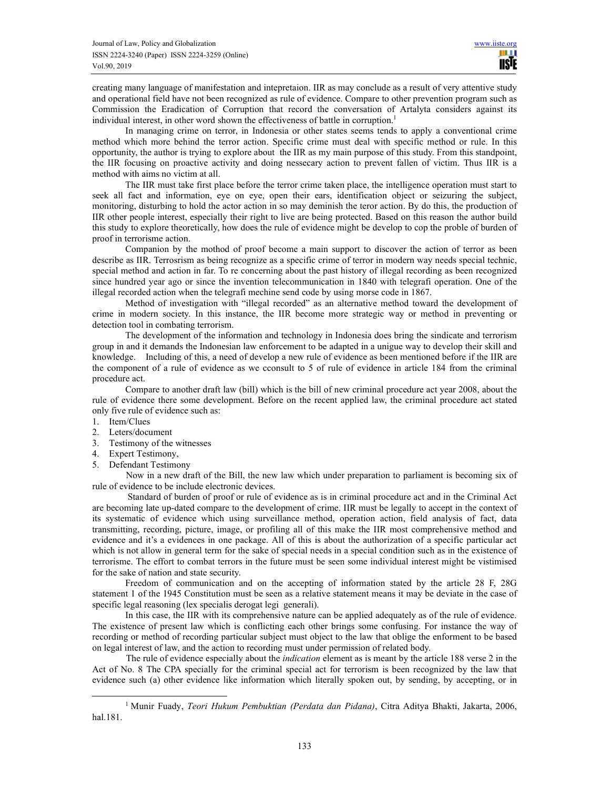creating many language of manifestation and intepretaion. IIR as may conclude as a result of very attentive study and operational field have not been recognized as rule of evidence. Compare to other prevention program such as Commission the Eradication of Corruption that record the conversation of Artalyta considers against its individual interest, in other word shown the effectiveness of battle in corruption.<sup>1</sup>

In managing crime on terror, in Indonesia or other states seems tends to apply a conventional crime method which more behind the terror action. Specific crime must deal with specific method or rule. In this opportunity, the author is trying to explore about the IIR as my main purpose of this study. From this standpoint, the IIR focusing on proactive activity and doing nessecary action to prevent fallen of victim. Thus IIR is a method with aims no victim at all.

The IIR must take first place before the terror crime taken place, the intelligence operation must start to seek all fact and information, eye on eye, open their ears, identification object or seizuring the subject, monitoring, disturbing to hold the actor action in so may deminish the teror action. By do this, the production of IIR other people interest, especially their right to live are being protected. Based on this reason the author build this study to explore theoretically, how does the rule of evidence might be develop to cop the proble of burden of proof in terrorisme action.

Companion by the mothod of proof become a main support to discover the action of terror as been describe as IIR. Terrosrism as being recognize as a specific crime of terror in modern way needs special technic, special method and action in far. To re concerning about the past history of illegal recording as been recognized since hundred year ago or since the invention telecommunication in 1840 with telegrafi operation. One of the illegal recorded action when the telegrafi mechine send code by using morse code in 1867.

Method of investigation with "illegal recorded" as an alternative method toward the development of crime in modern society. In this instance, the IIR become more strategic way or method in preventing or detection tool in combating terrorism.

The development of the information and technology in Indonesia does bring the sindicate and terrorism group in and it demands the Indonesian law enforcement to be adapted in a unigue way to develop their skill and knowledge. Including of this, a need of develop a new rule of evidence as been mentioned before if the IIR are the component of a rule of evidence as we cconsult to 5 of rule of evidence in article 184 from the criminal procedure act.

Compare to another draft law (bill) which is the bill of new criminal procedure act year 2008, about the rule of evidence there some development. Before on the recent applied law, the criminal procedure act stated only five rule of evidence such as:

- 1. Item/Clues
- 2. Leters/document
- 3. Testimony of the witnesses
- 4. Expert Testimony,
- 5. Defendant Testimony

 Now in a new draft of the Bill, the new law which under preparation to parliament is becoming six of rule of evidence to be include electronic devices.

 Standard of burden of proof or rule of evidence as is in criminal procedure act and in the Criminal Act are becoming late up-dated compare to the development of crime. IIR must be legally to accept in the context of its systematic of evidence which using surveillance method, operation action, field analysis of fact, data transmitting, recording, picture, image, or profiling all of this make the IIR most comprehensive method and evidence and it's a evidences in one package. All of this is about the authorization of a specific particular act which is not allow in general term for the sake of special needs in a special condition such as in the existence of terrorisme. The effort to combat terrors in the future must be seen some individual interest might be vistimised for the sake of nation and state security.

Freedom of communication and on the accepting of information stated by the article 28 F, 28G statement 1 of the 1945 Constitution must be seen as a relative statement means it may be deviate in the case of specific legal reasoning (lex specialis derogat legi generali).

In this case, the IIR with its comprehensive nature can be applied adequately as of the rule of evidence. The existence of present law which is conflicting each other brings some confusing. For instance the way of recording or method of recording particular subject must object to the law that oblige the enforment to be based on legal interest of law, and the action to recording must under permission of related body.

 The rule of evidence especially about the *indication* element as is meant by the article 188 verse 2 in the Act of No. 8 The CPA specially for the criminal special act for terrorism is been recognized by the law that evidence such (a) other evidence like information which literally spoken out, by sending, by accepting, or in

<sup>1</sup> Munir Fuady, *Teori Hukum Pembuktian (Perdata dan Pidana)*, Citra Aditya Bhakti, Jakarta, 2006, hal.181.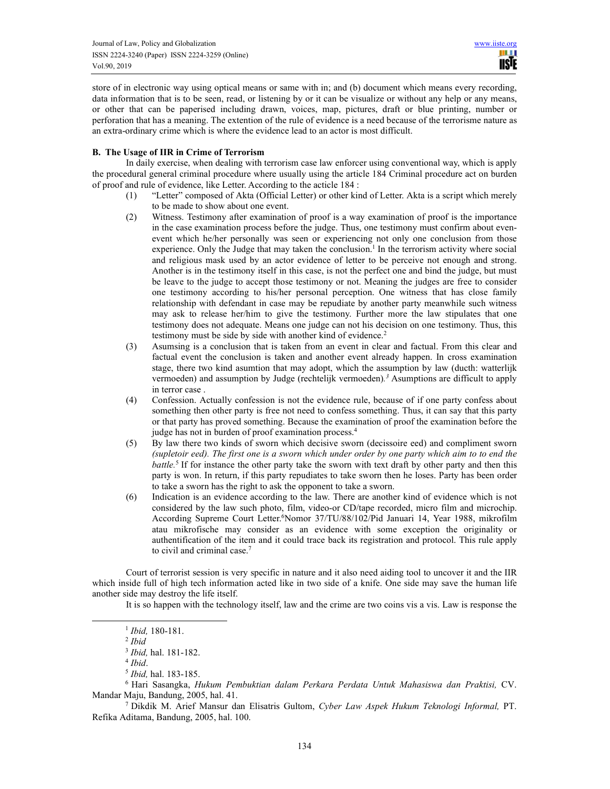store of in electronic way using optical means or same with in; and (b) document which means every recording, data information that is to be seen, read, or listening by or it can be visualize or without any help or any means, or other that can be paperised including drawn, voices, map, pictures, draft or blue printing, number or perforation that has a meaning. The extention of the rule of evidence is a need because of the terrorisme nature as an extra-ordinary crime which is where the evidence lead to an actor is most difficult.

## **B. The Usage of IIR in Crime of Terrorism**

 In daily exercise, when dealing with terrorism case law enforcer using conventional way, which is apply the procedural general criminal procedure where usually using the article 184 Criminal procedure act on burden of proof and rule of evidence, like Letter. According to the acticle 184 :

- (1) "Letter" composed of Akta (Official Letter) or other kind of Letter. Akta is a script which merely to be made to show about one event.
- (2) Witness. Testimony after examination of proof is a way examination of proof is the importance in the case examination process before the judge. Thus, one testimony must confirm about evenevent which he/her personally was seen or experiencing not only one conclusion from those experience. Only the Judge that may taken the conclusion.<sup>1</sup> In the terrorism activity where social and religious mask used by an actor evidence of letter to be perceive not enough and strong. Another is in the testimony itself in this case, is not the perfect one and bind the judge, but must be leave to the judge to accept those testimony or not. Meaning the judges are free to consider one testimony according to his/her personal perception. One witness that has close family relationship with defendant in case may be repudiate by another party meanwhile such witness may ask to release her/him to give the testimony. Further more the law stipulates that one testimony does not adequate. Means one judge can not his decision on one testimony. Thus, this testimony must be side by side with another kind of evidence.<sup>2</sup>
- (3) Asumsing is a conclusion that is taken from an event in clear and factual. From this clear and factual event the conclusion is taken and another event already happen. In cross examination stage, there two kind asumtion that may adopt, which the assumption by law (ducth: watterlijk vermoeden) and assumption by Judge (rechtelijk vermoeden)*. <sup>3</sup>* Asumptions are difficult to apply in terror case .
- (4) Confession. Actually confession is not the evidence rule, because of if one party confess about something then other party is free not need to confess something. Thus, it can say that this party or that party has proved something. Because the examination of proof the examination before the judge has not in burden of proof examination process.<sup>4</sup>
- (5) By law there two kinds of sworn which decisive sworn (decissoire eed) and compliment sworn *(supletoir eed). The first one is a sworn which under order by one party which aim to to end the battle.*<sup>5</sup> If for instance the other party take the sworn with text draft by other party and then this party is won. In return, if this party repudiates to take sworn then he loses. Party has been order to take a sworn has the right to ask the opponent to take a sworn.
- (6) Indication is an evidence according to the law. There are another kind of evidence which is not considered by the law such photo, film, video-or CD/tape recorded, micro film and microchip. According Supreme Court Letter.<sup>6</sup>Nomor 37/TU/88/102/Pid Januari 14, Year 1988, mikrofilm atau mikrofische may consider as an evidence with some exception the originality or authentification of the item and it could trace back its registration and protocol. This rule apply to civil and criminal case.<sup>7</sup>

 Court of terrorist session is very specific in nature and it also need aiding tool to uncover it and the IIR which inside full of high tech information acted like in two side of a knife. One side may save the human life another side may destroy the life itself.

It is so happen with the technology itself, law and the crime are two coins vis a vis. Law is response the

<sup>1</sup> *Ibid,* 180-181.

<sup>2</sup> *Ibid*

<sup>3</sup> *Ibid,* hal. 181-182.

<sup>4</sup> *Ibid*.

<sup>5</sup> *Ibid,* hal. 183-185.

<sup>6</sup> Hari Sasangka, *Hukum Pembuktian dalam Perkara Perdata Untuk Mahasiswa dan Praktisi,* CV. Mandar Maju, Bandung, 2005, hal. 41.

<sup>7</sup> Dikdik M. Arief Mansur dan Elisatris Gultom, *Cyber Law Aspek Hukum Teknologi Informal,* PT. Refika Aditama, Bandung, 2005, hal. 100.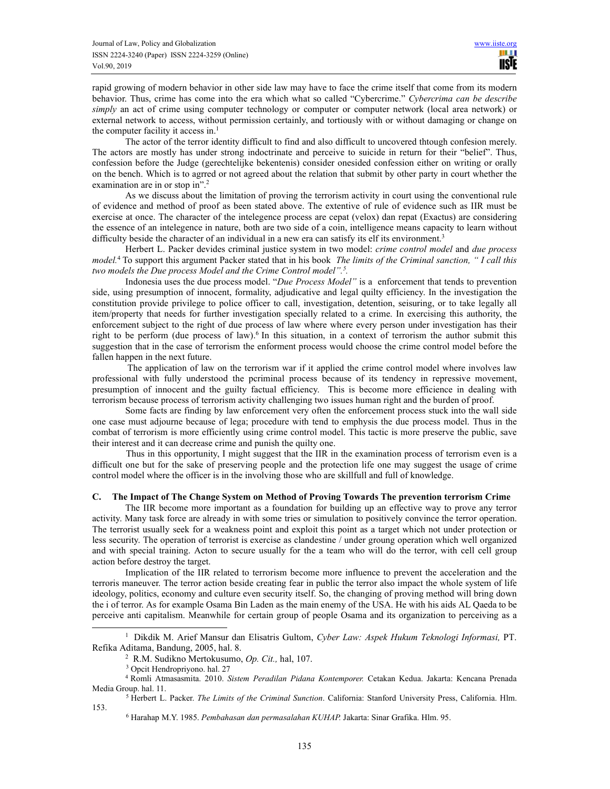rapid growing of modern behavior in other side law may have to face the crime itself that come from its modern behavior. Thus, crime has come into the era which what so called "Cybercrime." *Cybercrima can be describe simply* an act of crime using computer technology or computer or computer network (local area network) or external network to access, without permission certainly, and tortiously with or without damaging or change on the computer facility it access in.<sup>1</sup>

The actor of the terror identity difficult to find and also difficult to uncovered thtough confesion merely. The actors are mostly has under strong indoctrinate and perceive to suicide in return for their "belief". Thus, confession before the Judge (gerechtelijke bekentenis) consider onesided confession either on writing or orally on the bench. Which is to agrred or not agreed about the relation that submit by other party in court whether the examination are in or stop in".<sup>2</sup>

As we discuss about the limitation of proving the terrorism activity in court using the conventional rule of evidence and method of proof as been stated above. The extentive of rule of evidence such as IIR must be exercise at once. The character of the intelegence process are cepat (velox) dan repat (Exactus) are considering the essence of an intelegence in nature, both are two side of a coin, intelligence means capacity to learn without difficulty beside the character of an individual in a new era can satisfy its elf its environment.<sup>3</sup>

Herbert L. Packer devides criminal justice system in two model: *crime control model* and *due process model.*<sup>4</sup> To support this argument Packer stated that in his book *The limits of the Criminal sanction, " I call this two models the Due process Model and the Crime Control model".<sup>5</sup> .*

Indonesia uses the due process model. "*Due Process Model"* is a enforcement that tends to prevention side, using presumption of innocent, formality, adjudicative and legal quilty efficiency. In the investigation the constitution provide privilege to police officer to call, investigation, detention, seisuring, or to take legally all item/property that needs for further investigation specially related to a crime. In exercising this authority, the enforcement subject to the right of due process of law where where every person under investigation has their right to be perform (due process of law).<sup>6</sup> In this situation, in a context of terrorism the author submit this suggestion that in the case of terrorism the enforment process would choose the crime control model before the fallen happen in the next future.

 The application of law on the terrorism war if it applied the crime control model where involves law professional with fully understood the pcriminal process because of its tendency in repressive movement, presumption of innocent and the guilty factual efficiency. This is become more efficience in dealing with terrorism because process of terrorism activity challenging two issues human right and the burden of proof.

Some facts are finding by law enforcement very often the enforcement process stuck into the wall side one case must adjourne because of lega; procedure with tend to emphysis the due process model. Thus in the combat of terrorism is more efficiently using crime control model. This tactic is more preserve the public, save their interest and it can decrease crime and punish the quilty one.

 Thus in this opportunity, I might suggest that the IIR in the examination process of terrorism even is a difficult one but for the sake of preserving people and the protection life one may suggest the usage of crime control model where the officer is in the involving those who are skillfull and full of knowledge.

## **C. The Impact of The Change System on Method of Proving Towards The prevention terrorism Crime**

The IIR become more important as a foundation for building up an effective way to prove any terror activity. Many task force are already in with some tries or simulation to positively convince the terror operation. The terrorist usually seek for a weakness point and exploit this point as a target which not under protection or less security. The operation of terrorist is exercise as clandestine / under groung operation which well organized and with special training. Acton to secure usually for the a team who will do the terror, with cell cell group action before destroy the target.

Implication of the IIR related to terrorism become more influence to prevent the acceleration and the terroris maneuver. The terror action beside creating fear in public the terror also impact the whole system of life ideology, politics, economy and culture even security itself. So, the changing of proving method will bring down the i of terror. As for example Osama Bin Laden as the main enemy of the USA. He with his aids AL Qaeda to be perceive anti capitalism. Meanwhile for certain group of people Osama and its organization to perceiving as a

<sup>1</sup> Dikdik M. Arief Mansur dan Elisatris Gultom, *Cyber Law: Aspek Hukum Teknologi Informasi,* PT. Refika Aditama, Bandung, 2005, hal. 8.

<sup>2</sup> R.M. Sudikno Mertokusumo, *Op. Cit.,* hal, 107.

<sup>3</sup> Opcit Hendropriyono. hal. 27

<sup>4</sup> Romli Atmasasmita. 2010. *Sistem Peradilan Pidana Kontemporer.* Cetakan Kedua. Jakarta: Kencana Prenada Media Group. hal. 11.

<sup>5</sup> Herbert L. Packer. *The Limits of the Criminal Sunction*. California: Stanford University Press, California. Hlm. 153.

<sup>6</sup> Harahap M.Y. 1985. *Pembahasan dan permasalahan KUHAP.* Jakarta: Sinar Grafika. Hlm. 95.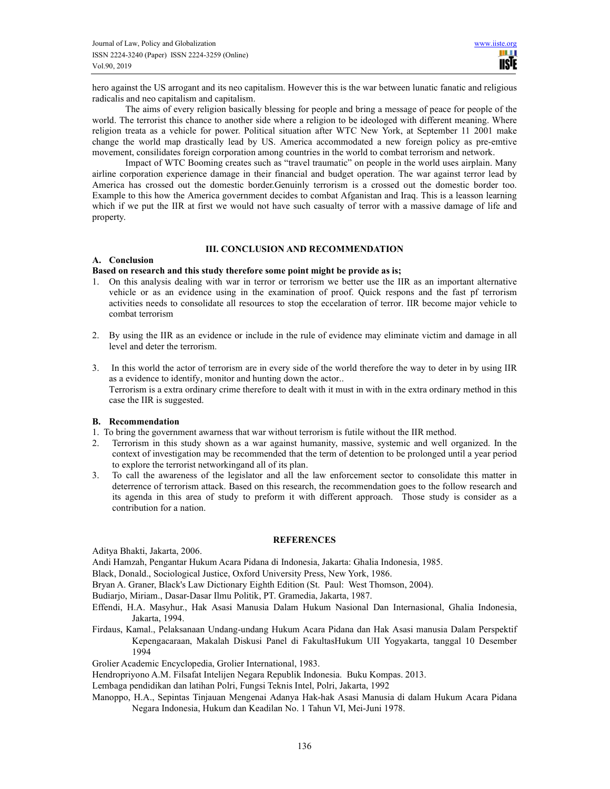hero against the US arrogant and its neo capitalism. However this is the war between lunatic fanatic and religious radicalis and neo capitalism and capitalism.

The aims of every religion basically blessing for people and bring a message of peace for people of the world. The terrorist this chance to another side where a religion to be ideologed with different meaning. Where religion treata as a vehicle for power. Political situation after WTC New York, at September 11 2001 make change the world map drastically lead by US. America accommodated a new foreign policy as pre-emtive movement, consilidates foreign corporation among countries in the world to combat terrorism and network.

Impact of WTC Booming creates such as "travel traumatic" on people in the world uses airplain. Many airline corporation experience damage in their financial and budget operation. The war against terror lead by America has crossed out the domestic border.Genuinly terrorism is a crossed out the domestic border too. Example to this how the America government decides to combat Afganistan and Iraq. This is a leasson learning which if we put the IIR at first we would not have such casualty of terror with a massive damage of life and property.

## **III. CONCLUSION AND RECOMMENDATION**

## **A. Conclusion**

#### **Based on research and this study therefore some point might be provide as is;**

- 1. On this analysis dealing with war in terror or terrorism we better use the IIR as an important alternative vehicle or as an evidence using in the examination of proof. Quick respons and the fast pf terrorism activities needs to consolidate all resources to stop the eccelaration of terror. IIR become major vehicle to combat terrorism
- 2. By using the IIR as an evidence or include in the rule of evidence may eliminate victim and damage in all level and deter the terrorism.
- 3. In this world the actor of terrorism are in every side of the world therefore the way to deter in by using IIR as a evidence to identify, monitor and hunting down the actor.. Terrorism is a extra ordinary crime therefore to dealt with it must in with in the extra ordinary method in this case the IIR is suggested.

## **B. Recommendation**

- 1. To bring the government awarness that war without terrorism is futile without the IIR method.
- 2. Terrorism in this study shown as a war against humanity, massive, systemic and well organized. In the context of investigation may be recommended that the term of detention to be prolonged until a year period to explore the terrorist networkingand all of its plan.
- 3. To call the awareness of the legislator and all the law enforcement sector to consolidate this matter in deterrence of terrorism attack. Based on this research, the recommendation goes to the follow research and its agenda in this area of study to preform it with different approach. Those study is consider as a contribution for a nation.

#### **REFERENCES**

Aditya Bhakti, Jakarta, 2006.

Andi Hamzah, Pengantar Hukum Acara Pidana di Indonesia, Jakarta: Ghalia Indonesia, 1985.

Black, Donald., Sociological Justice, Oxford University Press, New York, 1986.

Bryan A. Graner, Black's Law Dictionary Eighth Edition (St. Paul: West Thomson, 2004).

Budiarjo, Miriam., Dasar-Dasar Ilmu Politik, PT. Gramedia, Jakarta, 1987.

- Effendi, H.A. Masyhur., Hak Asasi Manusia Dalam Hukum Nasional Dan Internasional, Ghalia Indonesia, Jakarta, 1994.
- Firdaus, Kamal., Pelaksanaan Undang-undang Hukum Acara Pidana dan Hak Asasi manusia Dalam Perspektif Kepengacaraan, Makalah Diskusi Panel di FakultasHukum UII Yogyakarta, tanggal 10 Desember 1994

Grolier Academic Encyclopedia, Grolier International, 1983.

Hendropriyono A.M. Filsafat Intelijen Negara Republik Indonesia. Buku Kompas. 2013.

Lembaga pendidikan dan latihan Polri, Fungsi Teknis Intel, Polri, Jakarta, 1992

Manoppo, H.A., Sepintas Tinjauan Mengenai Adanya Hak-hak Asasi Manusia di dalam Hukum Acara Pidana Negara Indonesia, Hukum dan Keadilan No. 1 Tahun VI, Mei-Juni 1978.